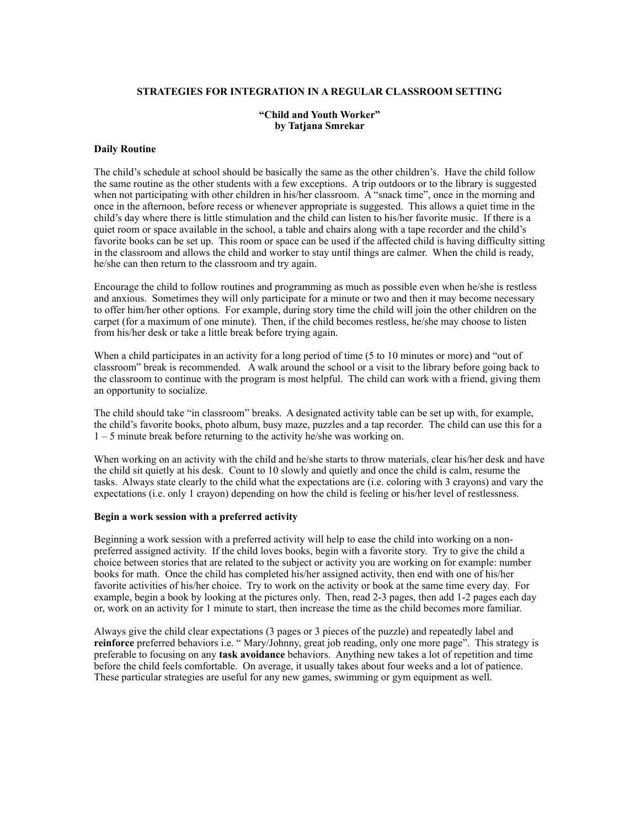## **STRATEGIES FOR INTEGRATION IN A REGULAR CLASSROOM SETTING**

## **"Child and Youth Worker" by Tatjana Smrekar**

## **Daily Routine**

The child's schedule at school should be basically the same as the other children's. Have the child follow the same routine as the other students with a few exceptions. A trip outdoors or to the library is suggested when not participating with other children in his/her classroom. A "snack time", once in the morning and once in the afternoon, before recess or whenever appropriate is suggested. This allows a quiet time in the child's day where there is little stimulation and the child can listen to his/her favorite music. If there is a quiet room or space available in the school, a table and chairs along with a tape recorder and the child's favorite books can be set up. This room or space can be used if the affected child is having difficulty sitting in the classroom and allows the child and worker to stay until things are calmer. When the child is ready, he/she can then return to the classroom and try again.

Encourage the child to follow routines and programming as much as possible even when he/she is restless and anxious. Sometimes they will only participate for a minute or two and then it may become necessary to offer him/her other options. For example, during story time the child will join the other children on the carpet (for a maximum of one minute). Then, if the child becomes restless, he/she may choose to listen from his/her desk or take a little break before trying again.

When a child participates in an activity for a long period of time (5 to 10 minutes or more) and "out of classroom" break is recommended. A walk around the school or a visit to the library before going back to the classroom to continue with the program is most helpful. The child can work with a friend, giving them an opportunity to socialize.

The child should take "in classroom" breaks. A designated activity table can be set up with, for example, the child's favorite books, photo album, busy maze, puzzles and a tap recorder. The child can use this for a 1 – 5 minute break before returning to the activity he/she was working on.

When working on an activity with the child and he/she starts to throw materials, clear his/her desk and have the child sit quietly at his desk. Count to 10 slowly and quietly and once the child is calm, resume the tasks. Always state clearly to the child what the expectations are (i.e. coloring with 3 crayons) and vary the expectations (i.e. only 1 crayon) depending on how the child is feeling or his/her level of restlessness.

# **Begin a work session with a preferred activity**

Beginning a work session with a preferred activity will help to ease the child into working on a nonpreferred assigned activity. If the child loves books, begin with a favorite story. Try to give the child a choice between stories that are related to the subject or activity you are working on for example: number books for math. Once the child has completed his/her assigned activity, then end with one of his/her favorite activities of his/her choice. Try to work on the activity or book at the same time every day. For example, begin a book by looking at the pictures only. Then, read 2-3 pages, then add 1-2 pages each day or, work on an activity for 1 minute to start, then increase the time as the child becomes more familiar.

Always give the child clear expectations (3 pages or 3 pieces of the puzzle) and repeatedly label and **reinforce** preferred behaviors i.e. "Mary/Johnny, great job reading, only one more page". This strategy is preferable to focusing on any **task avoidance** behaviors. Anything new takes a lot of repetition and time before the child feels comfortable. On average, it usually takes about four weeks and a lot of patience. These particular strategies are useful for any new games, swimming or gym equipment as well.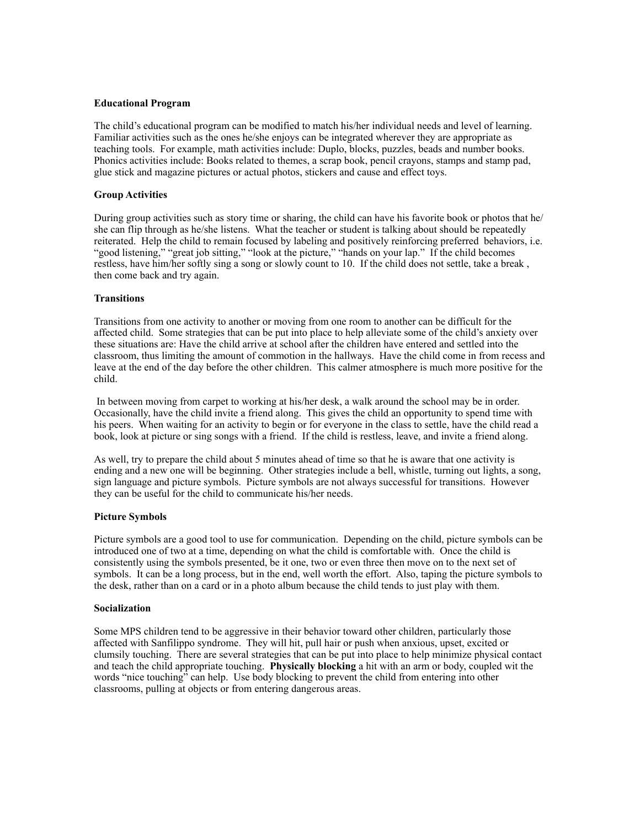### **Educational Program**

The child's educational program can be modified to match his/her individual needs and level of learning. Familiar activities such as the ones he/she enjoys can be integrated wherever they are appropriate as teaching tools. For example, math activities include: Duplo, blocks, puzzles, beads and number books. Phonics activities include: Books related to themes, a scrap book, pencil crayons, stamps and stamp pad, glue stick and magazine pictures or actual photos, stickers and cause and effect toys.

### **Group Activities**

During group activities such as story time or sharing, the child can have his favorite book or photos that he/ she can flip through as he/she listens. What the teacher or student is talking about should be repeatedly reiterated. Help the child to remain focused by labeling and positively reinforcing preferred behaviors, i.e. "good listening," "great job sitting," "look at the picture," "hands on your lap." If the child becomes restless, have him/her softly sing a song or slowly count to 10. If the child does not settle, take a break , then come back and try again.

## **Transitions**

Transitions from one activity to another or moving from one room to another can be difficult for the affected child. Some strategies that can be put into place to help alleviate some of the child's anxiety over these situations are: Have the child arrive at school after the children have entered and settled into the classroom, thus limiting the amount of commotion in the hallways. Have the child come in from recess and leave at the end of the day before the other children. This calmer atmosphere is much more positive for the child.

 In between moving from carpet to working at his/her desk, a walk around the school may be in order. Occasionally, have the child invite a friend along. This gives the child an opportunity to spend time with his peers. When waiting for an activity to begin or for everyone in the class to settle, have the child read a book, look at picture or sing songs with a friend. If the child is restless, leave, and invite a friend along.

As well, try to prepare the child about 5 minutes ahead of time so that he is aware that one activity is ending and a new one will be beginning. Other strategies include a bell, whistle, turning out lights, a song, sign language and picture symbols. Picture symbols are not always successful for transitions. However they can be useful for the child to communicate his/her needs.

### **Picture Symbols**

Picture symbols are a good tool to use for communication. Depending on the child, picture symbols can be introduced one of two at a time, depending on what the child is comfortable with. Once the child is consistently using the symbols presented, be it one, two or even three then move on to the next set of symbols. It can be a long process, but in the end, well worth the effort. Also, taping the picture symbols to the desk, rather than on a card or in a photo album because the child tends to just play with them.

#### **Socialization**

Some MPS children tend to be aggressive in their behavior toward other children, particularly those affected with Sanfilippo syndrome. They will hit, pull hair or push when anxious, upset, excited or clumsily touching. There are several strategies that can be put into place to help minimize physical contact and teach the child appropriate touching. **Physically blocking** a hit with an arm or body, coupled wit the words "nice touching" can help. Use body blocking to prevent the child from entering into other classrooms, pulling at objects or from entering dangerous areas.